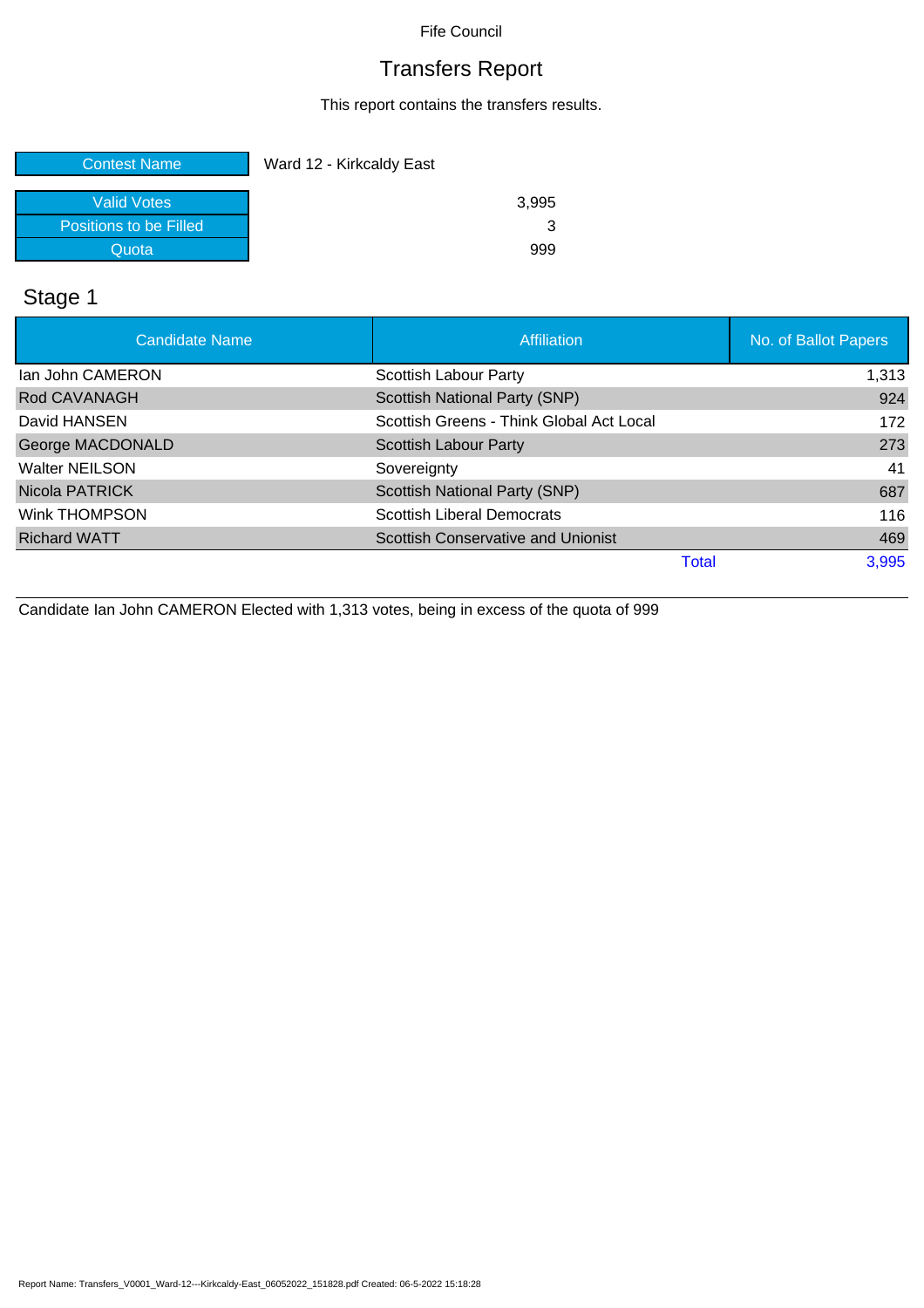### Transfers Report

This report contains the transfers results.

| <b>Contest Name</b>    | Ward 12 - Kirkcaldy East |
|------------------------|--------------------------|
|                        |                          |
| <b>Valid Votes</b>     | 3,995                    |
| Positions to be Filled |                          |
| Quota                  | 999                      |

### Stage 1

| <b>Candidate Name</b>   | Affiliation                               | No. of Ballot Papers |
|-------------------------|-------------------------------------------|----------------------|
| lan John CAMERON        | Scottish Labour Party                     | 1,313                |
| Rod CAVANAGH            | Scottish National Party (SNP)             | 924                  |
| David HANSEN            | Scottish Greens - Think Global Act Local  | 172                  |
| <b>George MACDONALD</b> | <b>Scottish Labour Party</b>              | 273                  |
| <b>Walter NEILSON</b>   | Sovereignty                               | 41                   |
| Nicola PATRICK          | Scottish National Party (SNP)             | 687                  |
| Wink THOMPSON           | <b>Scottish Liberal Democrats</b>         | 116                  |
| <b>Richard WATT</b>     | <b>Scottish Conservative and Unionist</b> | 469                  |
|                         | Total                                     | 3,995                |

Candidate Ian John CAMERON Elected with 1,313 votes, being in excess of the quota of 999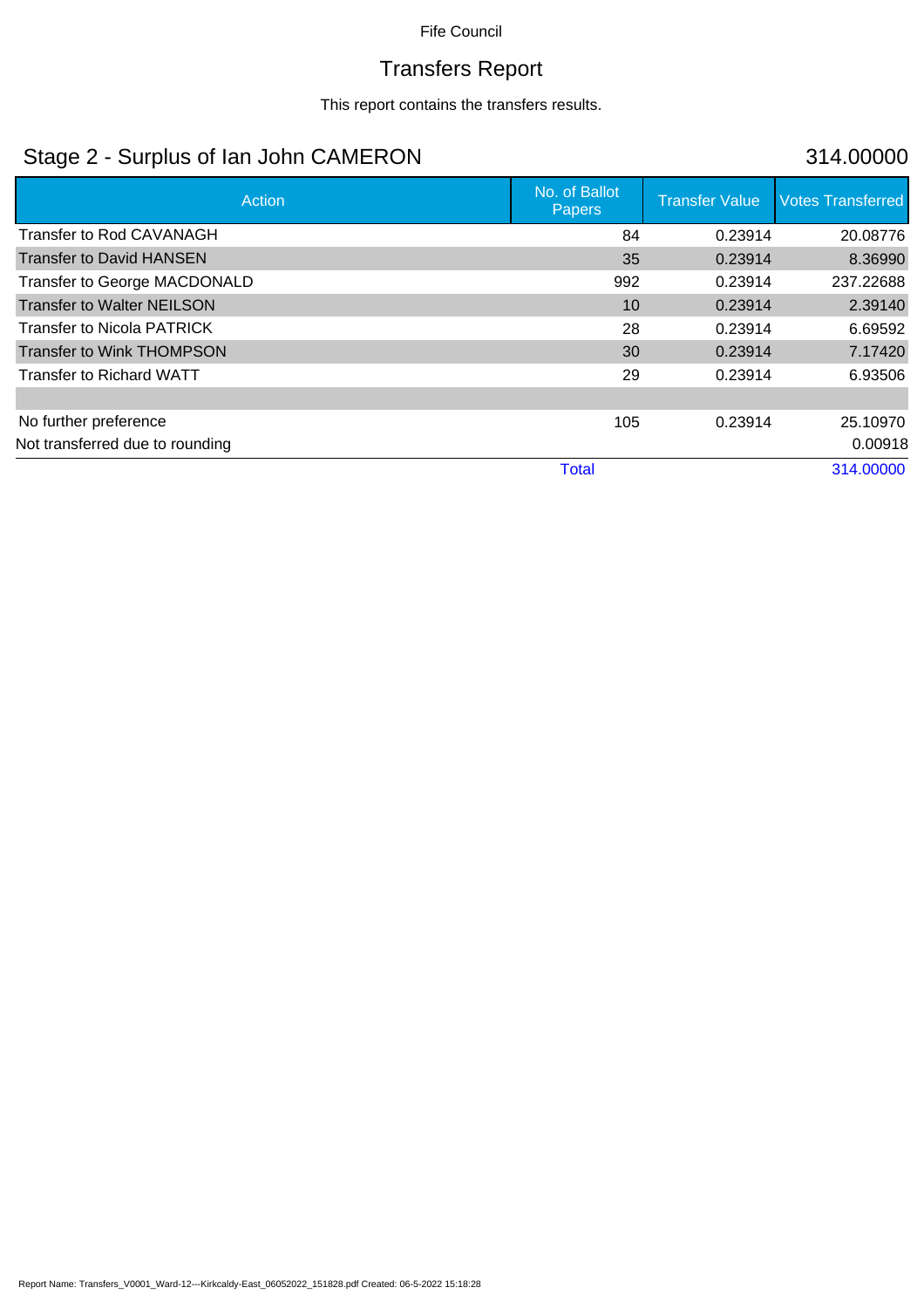# Transfers Report

This report contains the transfers results.

### Stage 2 - Surplus of Ian John CAMERON 314.00000

| Action                            | No. of Ballot<br><b>Papers</b> | <b>Transfer Value</b> | <b>Votes Transferred</b> |
|-----------------------------------|--------------------------------|-----------------------|--------------------------|
| <b>Transfer to Rod CAVANAGH</b>   | 84                             | 0.23914               | 20.08776                 |
| <b>Transfer to David HANSEN</b>   | 35                             | 0.23914               | 8.36990                  |
| Transfer to George MACDONALD      | 992                            | 0.23914               | 237.22688                |
| <b>Transfer to Walter NEILSON</b> | 10                             | 0.23914               | 2.39140                  |
| <b>Transfer to Nicola PATRICK</b> | 28                             | 0.23914               | 6.69592                  |
| Transfer to Wink THOMPSON         | 30                             | 0.23914               | 7.17420                  |
| Transfer to Richard WATT          | 29                             | 0.23914               | 6.93506                  |
|                                   |                                |                       |                          |
| No further preference             | 105                            | 0.23914               | 25.10970                 |
| Not transferred due to rounding   |                                |                       | 0.00918                  |
|                                   | <b>Total</b>                   |                       | 314.00000                |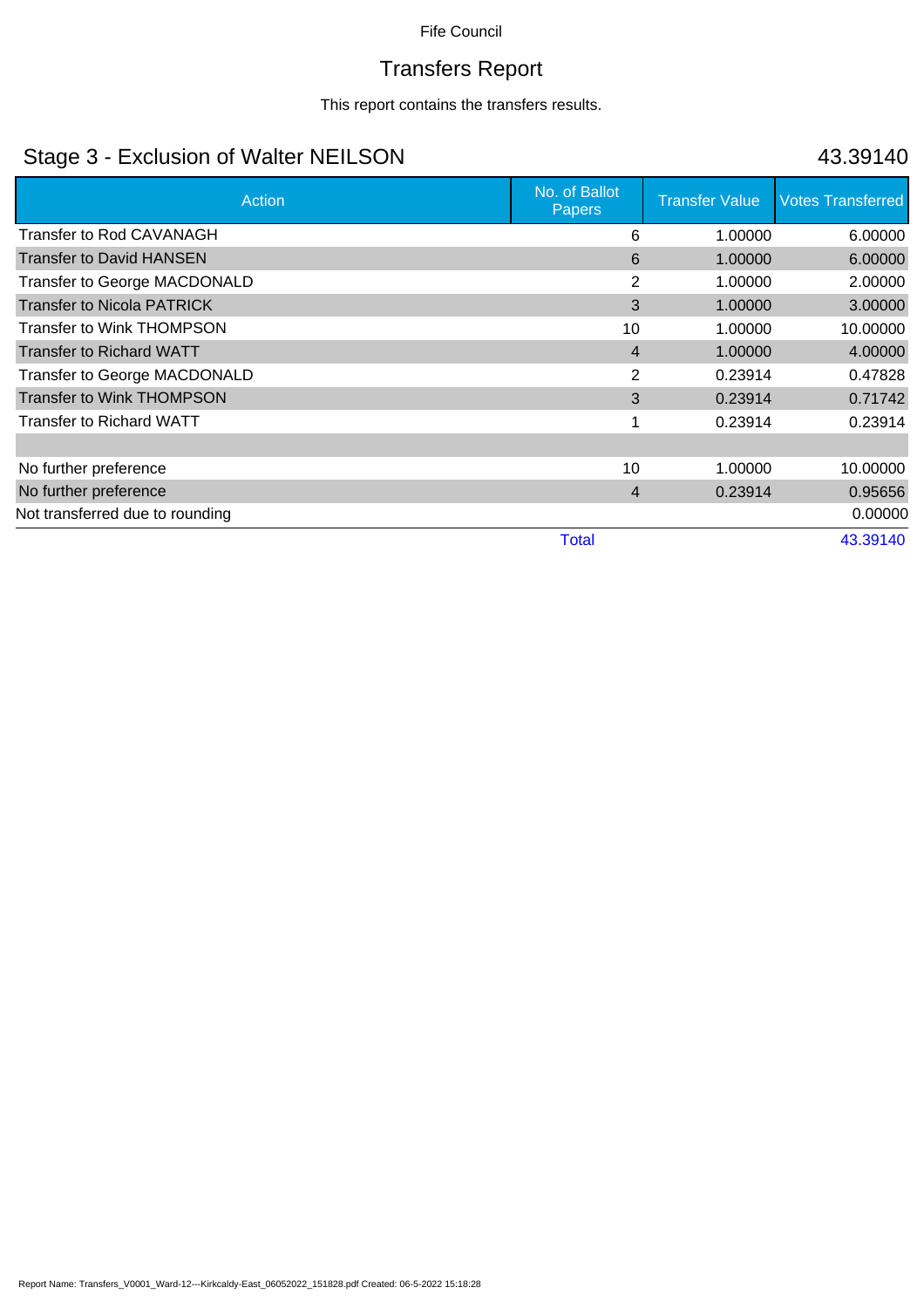# Transfers Report

This report contains the transfers results.

### Stage 3 - Exclusion of Walter NEILSON 43.39140

| Action                            | No. of Ballot<br><b>Papers</b> | <b>Transfer Value</b> | <b>Votes Transferred</b> |
|-----------------------------------|--------------------------------|-----------------------|--------------------------|
| Transfer to Rod CAVANAGH          | 6                              | 1.00000               | 6.00000                  |
| <b>Transfer to David HANSEN</b>   | 6                              | 1.00000               | 6.00000                  |
| Transfer to George MACDONALD      | 2                              | 1.00000               | 2.00000                  |
| <b>Transfer to Nicola PATRICK</b> | 3                              | 1.00000               | 3.00000                  |
| <b>Transfer to Wink THOMPSON</b>  | 10                             | 1.00000               | 10.00000                 |
| <b>Transfer to Richard WATT</b>   | $\overline{4}$                 | 1.00000               | 4.00000                  |
| Transfer to George MACDONALD      | $\overline{2}$                 | 0.23914               | 0.47828                  |
| <b>Transfer to Wink THOMPSON</b>  | 3                              | 0.23914               | 0.71742                  |
| <b>Transfer to Richard WATT</b>   |                                | 0.23914               | 0.23914                  |
|                                   |                                |                       |                          |
| No further preference             | 10                             | 1.00000               | 10.00000                 |
| No further preference             | 4                              | 0.23914               | 0.95656                  |
| Not transferred due to rounding   |                                |                       | 0.00000                  |
|                                   | <b>Total</b>                   |                       | 43.39140                 |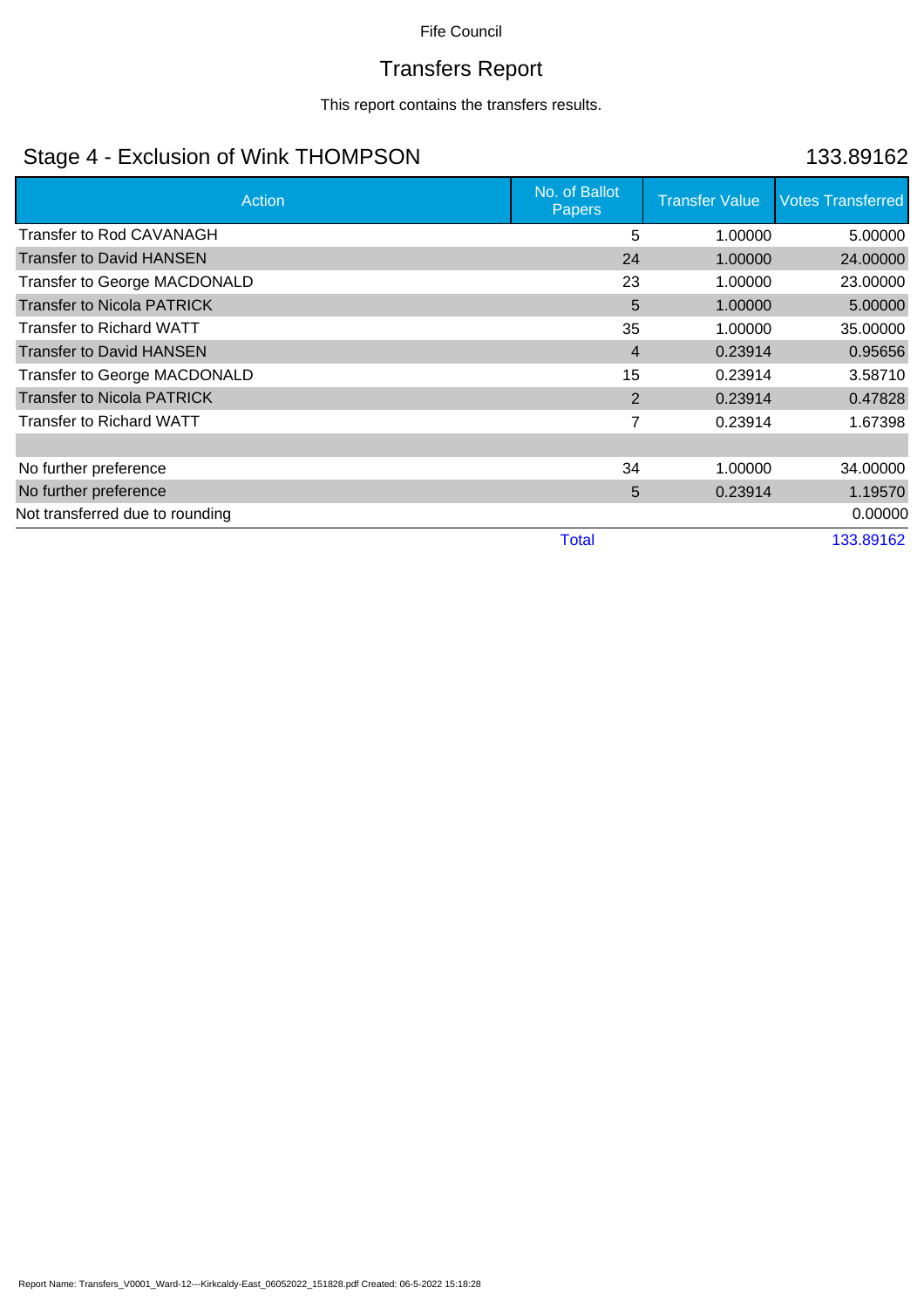# Transfers Report

This report contains the transfers results.

### Stage 4 - Exclusion of Wink THOMPSON 133.89162

| Action                              | No. of Ballot<br><b>Papers</b> | <b>Transfer Value</b> | <b>Votes Transferred</b> |
|-------------------------------------|--------------------------------|-----------------------|--------------------------|
| <b>Transfer to Rod CAVANAGH</b>     | 5                              | 1.00000               | 5.00000                  |
| <b>Transfer to David HANSEN</b>     | 24                             | 1.00000               | 24.00000                 |
| Transfer to George MACDONALD        | 23                             | 1.00000               | 23.00000                 |
| <b>Transfer to Nicola PATRICK</b>   | 5                              | 1.00000               | 5.00000                  |
| Transfer to Richard WATT            | 35                             | 1.00000               | 35.00000                 |
| <b>Transfer to David HANSEN</b>     | $\overline{4}$                 | 0.23914               | 0.95656                  |
| <b>Transfer to George MACDONALD</b> | 15                             | 0.23914               | 3.58710                  |
| <b>Transfer to Nicola PATRICK</b>   | $\overline{2}$                 | 0.23914               | 0.47828                  |
| <b>Transfer to Richard WATT</b>     | 7                              | 0.23914               | 1.67398                  |
|                                     |                                |                       |                          |
| No further preference               | 34                             | 1.00000               | 34.00000                 |
| No further preference               | 5                              | 0.23914               | 1.19570                  |
| Not transferred due to rounding     |                                |                       | 0.00000                  |
|                                     | <b>Total</b>                   |                       | 133.89162                |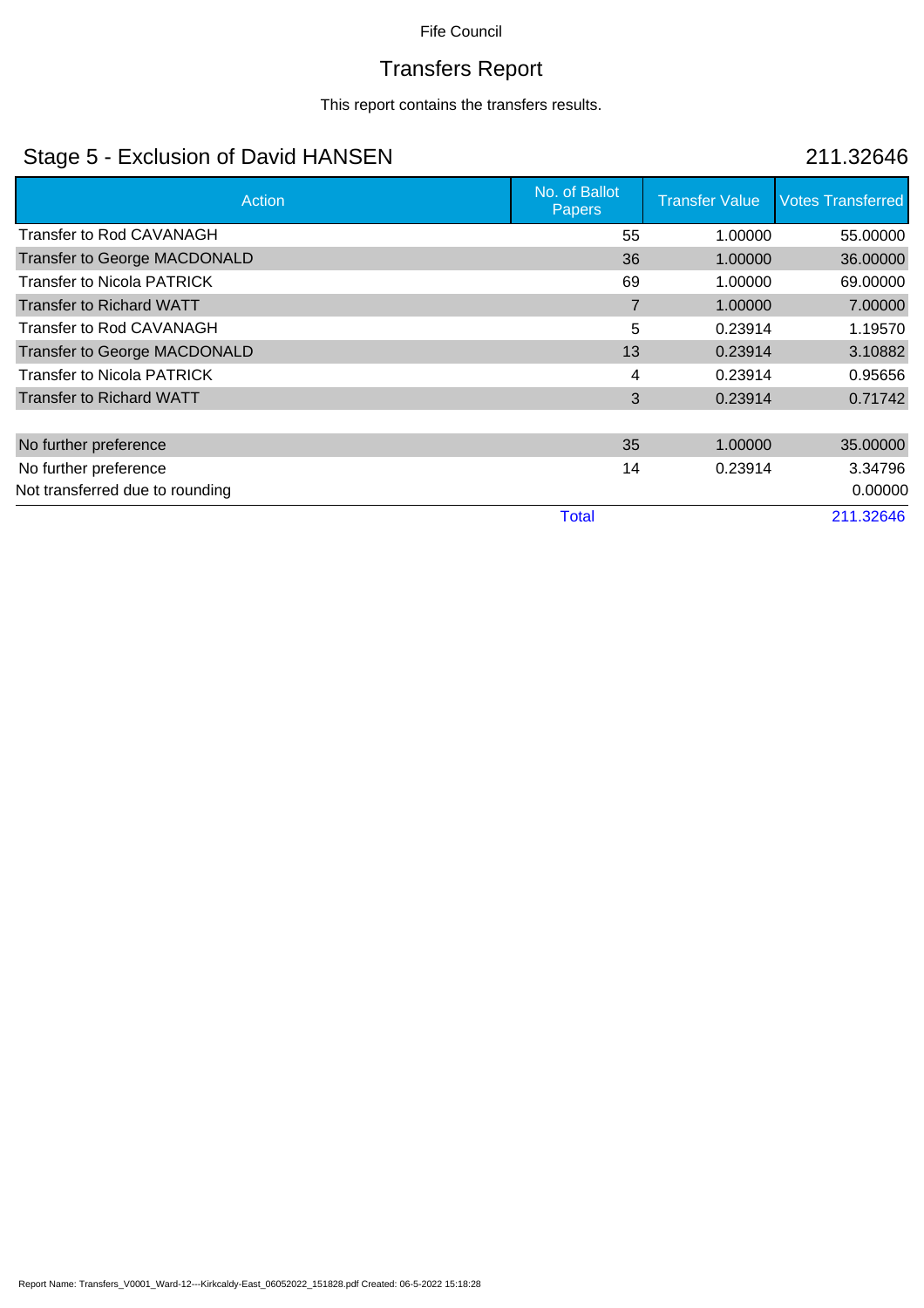# Transfers Report

This report contains the transfers results.

### Stage 5 - Exclusion of David HANSEN 211.32646

| <b>Action</b>                       | No. of Ballot<br><b>Papers</b> | <b>Transfer Value</b> | <b>Votes Transferred</b> |
|-------------------------------------|--------------------------------|-----------------------|--------------------------|
| Transfer to Rod CAVANAGH            | 55                             | 1.00000               | 55.00000                 |
| Transfer to George MACDONALD        | 36                             | 1.00000               | 36.00000                 |
| <b>Transfer to Nicola PATRICK</b>   | 69                             | 1.00000               | 69.00000                 |
| <b>Transfer to Richard WATT</b>     | $\overline{7}$                 | 1.00000               | 7.00000                  |
| <b>Transfer to Rod CAVANAGH</b>     | 5                              | 0.23914               | 1.19570                  |
| <b>Transfer to George MACDONALD</b> | 13                             | 0.23914               | 3.10882                  |
| <b>Transfer to Nicola PATRICK</b>   | 4                              | 0.23914               | 0.95656                  |
| <b>Transfer to Richard WATT</b>     | 3                              | 0.23914               | 0.71742                  |
|                                     |                                |                       |                          |
| No further preference               | 35                             | 1.00000               | 35.00000                 |
| No further preference               | 14                             | 0.23914               | 3.34796                  |
| Not transferred due to rounding     |                                |                       | 0.00000                  |
|                                     | <b>Total</b>                   |                       | 211.32646                |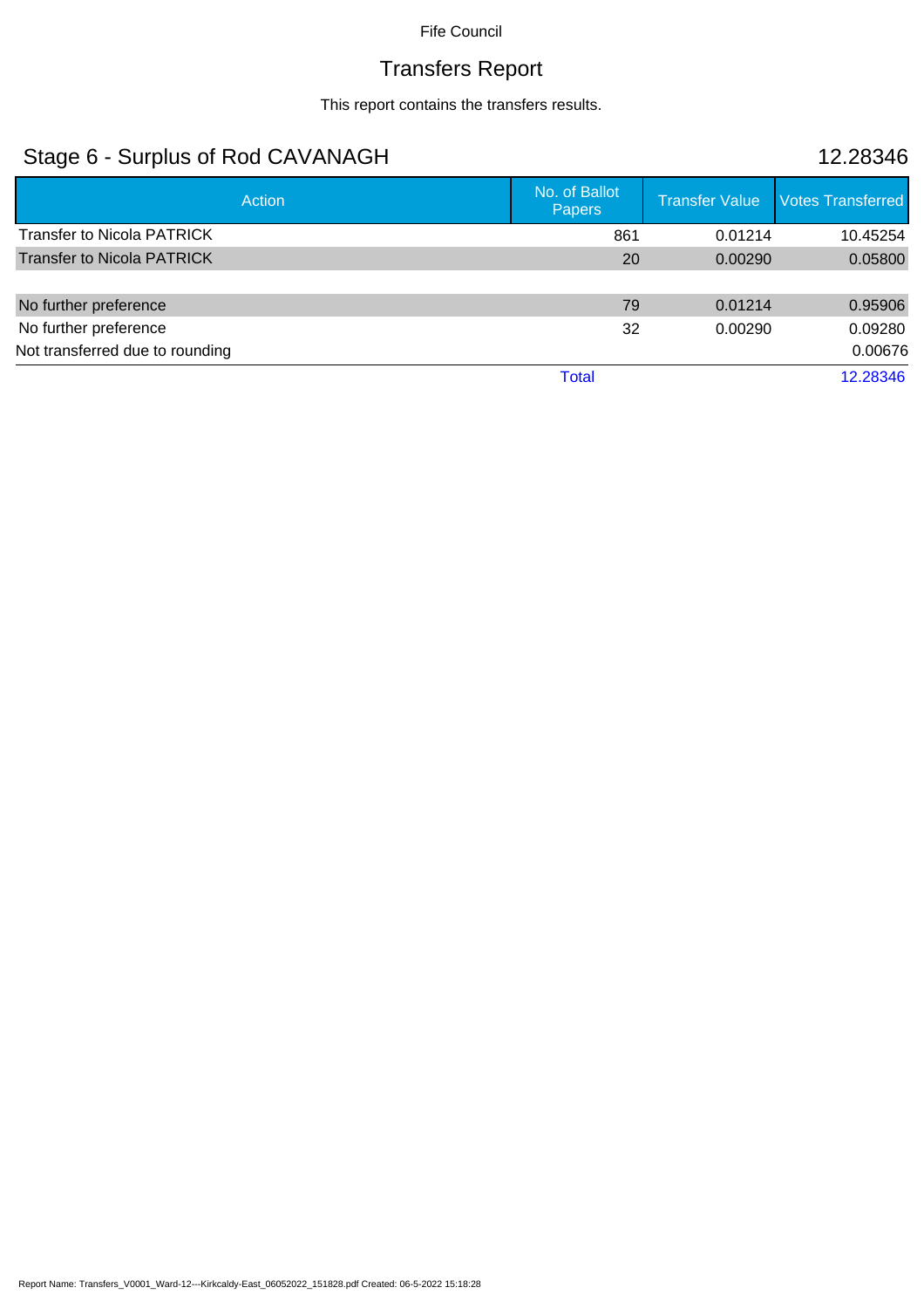# Transfers Report

This report contains the transfers results.

### Stage 6 - Surplus of Rod CAVANAGH 12.28346

| <b>Action</b>                     | No. of Ballot<br><b>Papers</b> |     | <b>Transfer Value</b> | <b>Votes Transferred</b> |
|-----------------------------------|--------------------------------|-----|-----------------------|--------------------------|
| <b>Transfer to Nicola PATRICK</b> |                                | 861 | 0.01214               | 10.45254                 |
| <b>Transfer to Nicola PATRICK</b> |                                | 20  | 0.00290               | 0.05800                  |
| No further preference             |                                | 79  | 0.01214               | 0.95906                  |
| No further preference             |                                | 32  | 0.00290               | 0.09280                  |
| Not transferred due to rounding   |                                |     |                       | 0.00676                  |
|                                   | <b>Total</b>                   |     |                       | 12.28346                 |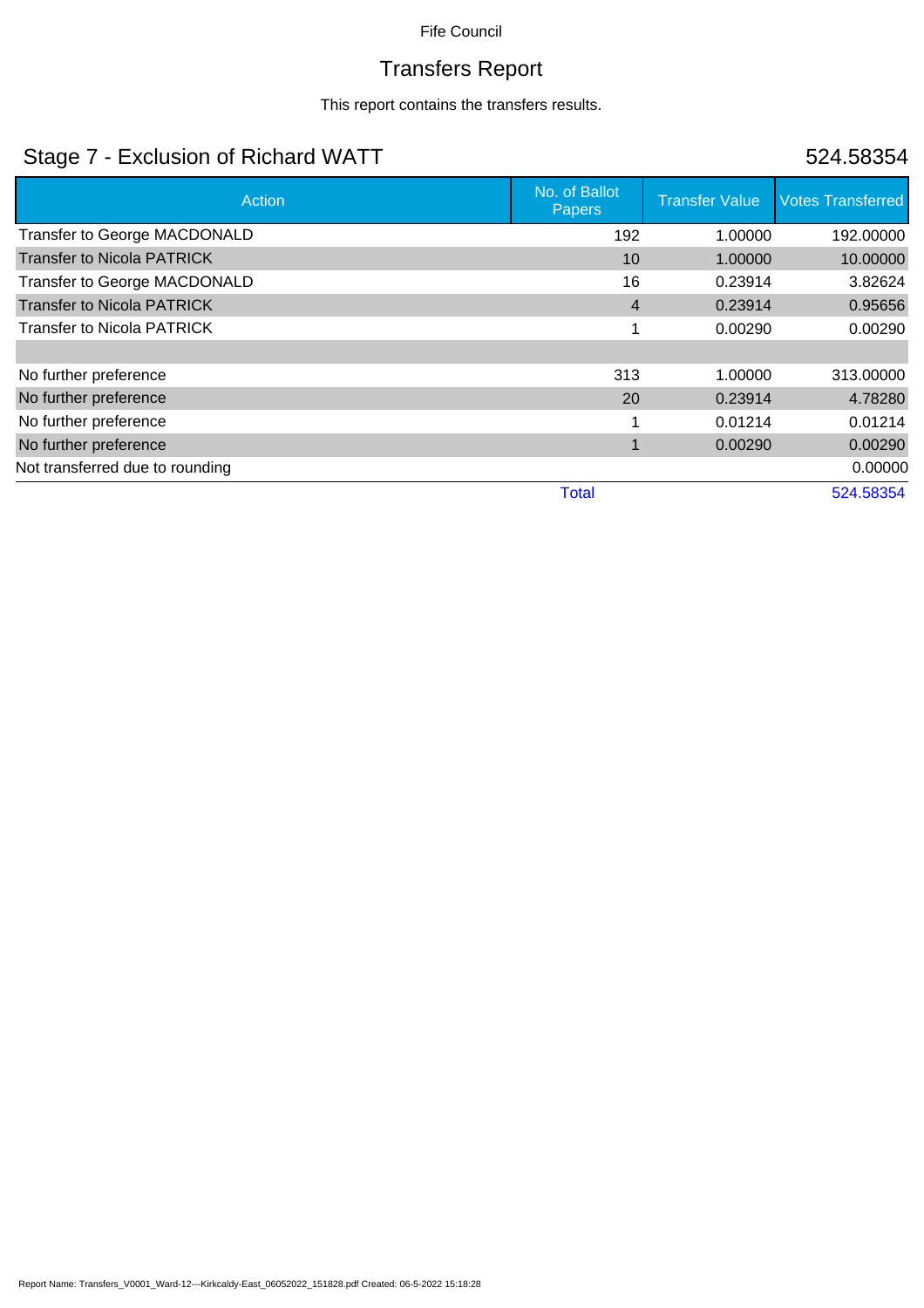# Transfers Report

This report contains the transfers results.

### Stage 7 - Exclusion of Richard WATT 524.58354

| Action                            | No. of Ballot<br>Papers | <b>Transfer Value</b> | <b>Votes Transferred</b> |
|-----------------------------------|-------------------------|-----------------------|--------------------------|
| Transfer to George MACDONALD      | 192                     | 1.00000               | 192.00000                |
| <b>Transfer to Nicola PATRICK</b> | 10                      | 1.00000               | 10.00000                 |
| Transfer to George MACDONALD      | 16                      | 0.23914               | 3.82624                  |
| <b>Transfer to Nicola PATRICK</b> | $\overline{4}$          | 0.23914               | 0.95656                  |
| <b>Transfer to Nicola PATRICK</b> |                         | 0.00290               | 0.00290                  |
|                                   |                         |                       |                          |
| No further preference             | 313                     | 1.00000               | 313.00000                |
| No further preference             | 20                      | 0.23914               | 4.78280                  |
| No further preference             |                         | 0.01214               | 0.01214                  |
| No further preference             |                         | 0.00290               | 0.00290                  |
| Not transferred due to rounding   |                         |                       | 0.00000                  |
|                                   | <b>Total</b>            |                       | 524.58354                |